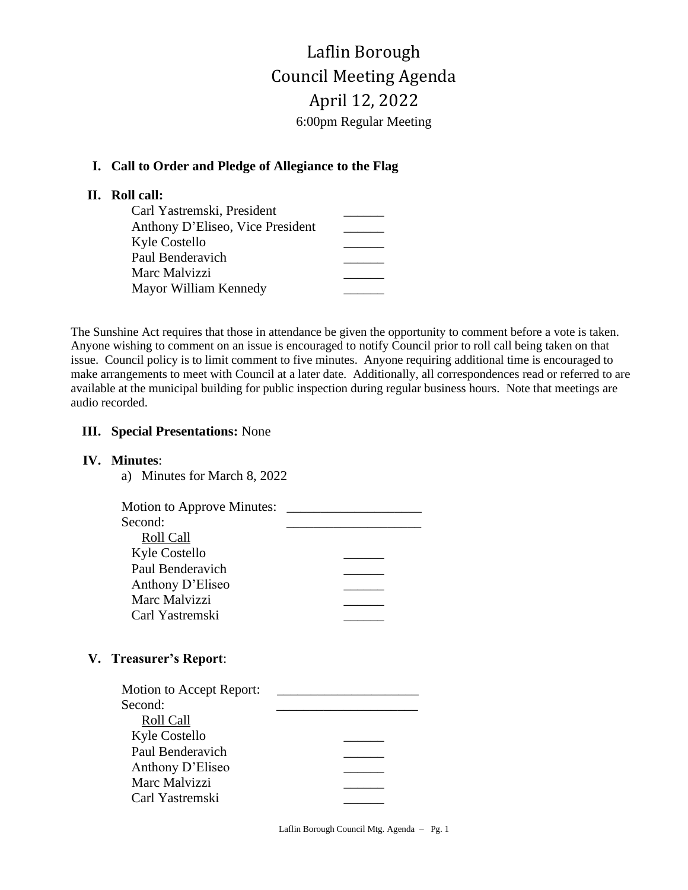# Laflin Borough Council Meeting Agenda April 12, 2022 6:00pm Regular Meeting

## **I. Call to Order and Pledge of Allegiance to the Flag**

## **II. Roll call:**

| Carl Yastremski, President       |  |
|----------------------------------|--|
| Anthony D'Eliseo, Vice President |  |
| Kyle Costello                    |  |
| Paul Benderavich                 |  |
| Marc Malvizzi                    |  |
| Mayor William Kennedy            |  |

The Sunshine Act requires that those in attendance be given the opportunity to comment before a vote is taken. Anyone wishing to comment on an issue is encouraged to notify Council prior to roll call being taken on that issue. Council policy is to limit comment to five minutes. Anyone requiring additional time is encouraged to make arrangements to meet with Council at a later date. Additionally, all correspondences read or referred to are available at the municipal building for public inspection during regular business hours. Note that meetings are audio recorded.

#### **III. Special Presentations:** None

#### **IV. Minutes**:

| a) Minutes for March 8, 2022 |  |
|------------------------------|--|
| Motion to Approve Minutes:   |  |
| Second:                      |  |
| Roll Call                    |  |
| Kyle Costello                |  |
| Paul Benderavich             |  |
| Anthony D'Eliseo             |  |
| Marc Malvizzi                |  |
| Carl Yastremski              |  |
|                              |  |
|                              |  |

# **V. Treasurer's Report**:

| Motion to Accept Report: |  |
|--------------------------|--|
| Second:                  |  |
| Roll Call                |  |
| Kyle Costello            |  |
| Paul Benderavich         |  |
| Anthony D'Eliseo         |  |
| Marc Malvizzi            |  |
| Carl Yastremski          |  |

Laflin Borough Council Mtg. Agenda – Pg. 1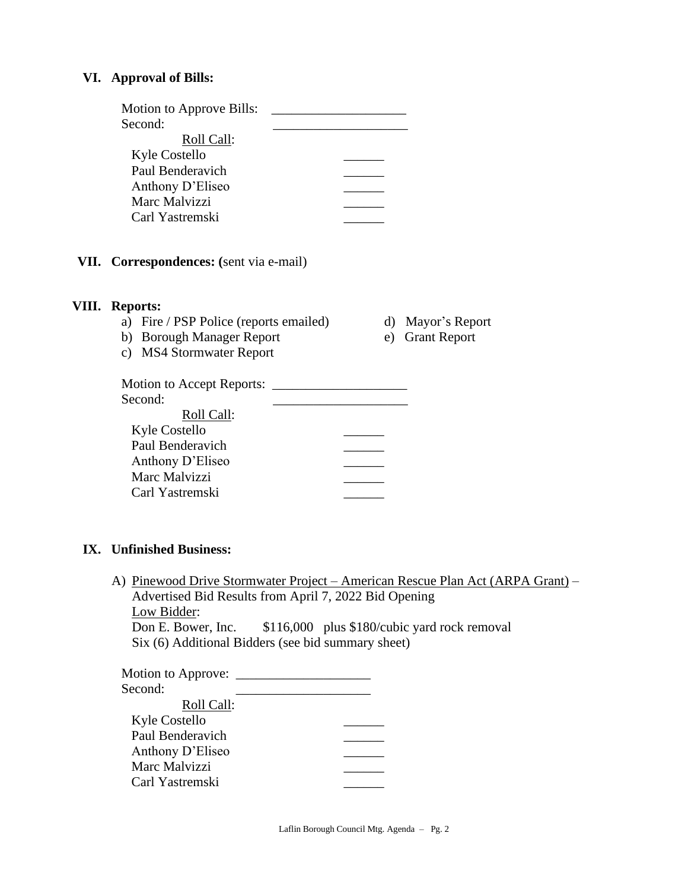#### **VI. Approval of Bills:**

| Motion to Approve Bills: |  |
|--------------------------|--|
| Second:                  |  |
| Roll Call:               |  |
| Kyle Costello            |  |
| Paul Benderavich         |  |
| Anthony D'Eliseo         |  |
| Marc Malvizzi            |  |
| Carl Yastremski          |  |
|                          |  |

**VII. Correspondences: (**sent via e-mail)

#### **VIII. Reports:**

- a) Fire / PSP Police (reports emailed) d) Mayor's Report
- b) Borough Manager Report e) Grant Report
- c) MS4 Stormwater Report
- 
- 

Motion to Accept Reports: \_\_\_\_\_\_\_\_\_\_\_\_\_\_\_\_\_\_\_\_ Second:

| Roll Call:       |  |
|------------------|--|
| Kyle Costello    |  |
| Paul Benderavich |  |
| Anthony D'Eliseo |  |
| Marc Malvizzi    |  |
| Carl Yastremski  |  |

### **IX. Unfinished Business:**

A) Pinewood Drive Stormwater Project – American Rescue Plan Act (ARPA Grant) – Advertised Bid Results from April 7, 2022 Bid Opening Low Bidder:

Don E. Bower, Inc. \$116,000 plus \$180/cubic yard rock removal Six (6) Additional Bidders (see bid summary sheet)

| <b>Motion to Approve:</b> |  |
|---------------------------|--|
| Second:                   |  |
| Roll Call:                |  |
| Kyle Costello             |  |
| Paul Benderavich          |  |
| Anthony D'Eliseo          |  |
| Marc Malvizzi             |  |
| Carl Yastremski           |  |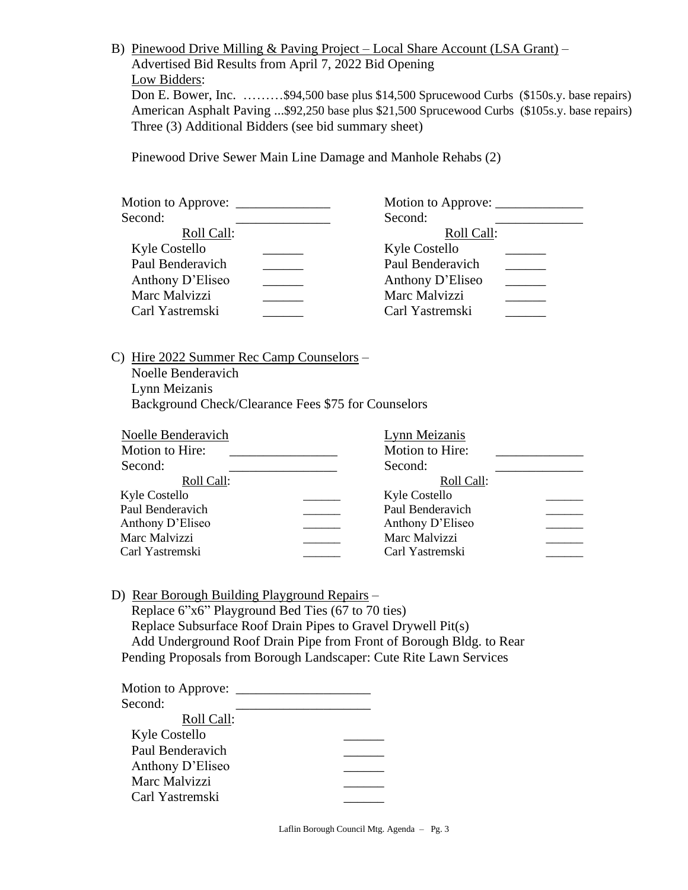B) Pinewood Drive Milling & Paving Project – Local Share Account (LSA Grant) – Advertised Bid Results from April 7, 2022 Bid Opening Low Bidders: Don E. Bower, Inc. ………\$94,500 base plus \$14,500 Sprucewood Curbs (\$150s.y. base repairs) American Asphalt Paving ...\$92,250 base plus \$21,500 Sprucewood Curbs (\$105s.y. base repairs) Three (3) Additional Bidders (see bid summary sheet)

Pinewood Drive Sewer Main Line Damage and Manhole Rehabs (2)

| Motion to Approve: _______ | Motion to Approve:   |
|----------------------------|----------------------|
| Second:                    | Second:              |
| Roll Call:                 | Roll Call:           |
| Kyle Costello              | <b>Kyle Costello</b> |
| Paul Benderavich           | Paul Benderavich     |
| Anthony D'Eliseo           | Anthony D'Eliseo     |
| Marc Malvizzi              | Marc Malvizzi        |
| Carl Yastremski            | Carl Yastremski      |
|                            |                      |

C) Hire 2022 Summer Rec Camp Counselors –

Noelle Benderavich Lynn Meizanis Background Check/Clearance Fees \$75 for Counselors

| Noelle Benderavich | Lynn Meizanis    |  |
|--------------------|------------------|--|
| Motion to Hire:    | Motion to Hire:  |  |
| Second:            | Second:          |  |
| Roll Call:         | Roll Call:       |  |
| Kyle Costello      | Kyle Costello    |  |
| Paul Benderavich   | Paul Benderavich |  |
| Anthony D'Eliseo   | Anthony D'Eliseo |  |
| Marc Malvizzi      | Marc Malvizzi    |  |
| Carl Yastremski    | Carl Yastremski  |  |
|                    |                  |  |

 D) Rear Borough Building Playground Repairs – Replace 6"x6" Playground Bed Ties (67 to 70 ties) Replace Subsurface Roof Drain Pipes to Gravel Drywell Pit(s) Add Underground Roof Drain Pipe from Front of Borough Bldg. to Rear Pending Proposals from Borough Landscaper: Cute Rite Lawn Services

| Motion to Approve: |  |
|--------------------|--|
| Second:            |  |
| Roll Call:         |  |
| Kyle Costello      |  |
| Paul Benderavich   |  |
| Anthony D'Eliseo   |  |
| Marc Malvizzi      |  |
| Carl Yastremski    |  |
|                    |  |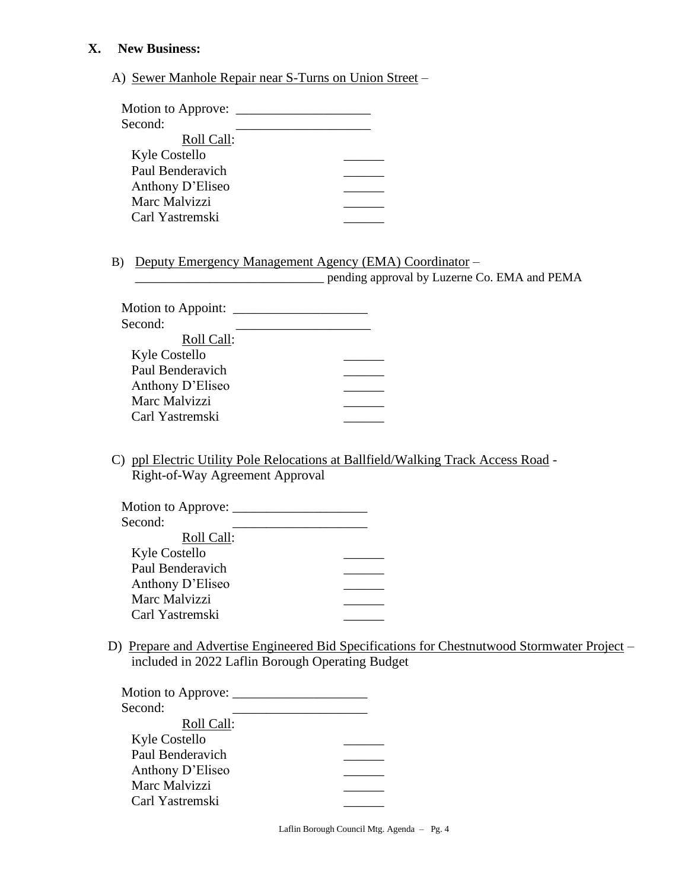### **X. New Business:**

A) Sewer Manhole Repair near S-Turns on Union Street –

| Motion to Approve:                                         |                                                                                              |
|------------------------------------------------------------|----------------------------------------------------------------------------------------------|
| Second:                                                    |                                                                                              |
| Roll Call:                                                 |                                                                                              |
| Kyle Costello                                              |                                                                                              |
| Paul Benderavich                                           |                                                                                              |
| Anthony D'Eliseo                                           |                                                                                              |
| Marc Malvizzi                                              |                                                                                              |
| Carl Yastremski                                            |                                                                                              |
|                                                            |                                                                                              |
| B)                                                         | Deputy Emergency Management Agency (EMA) Coordinator –                                       |
| <u> 1980 - Johann Barbara, martxa alemaniar populari (</u> | pending approval by Luzerne Co. EMA and PEMA                                                 |
| Motion to Appoint:                                         |                                                                                              |
| Second:                                                    |                                                                                              |
| Roll Call:                                                 |                                                                                              |
| <b>Kyle Costello</b>                                       |                                                                                              |
| Paul Benderavich                                           |                                                                                              |
| Anthony D'Eliseo                                           |                                                                                              |
| Marc Malvizzi                                              |                                                                                              |
| Carl Yastremski                                            |                                                                                              |
| Right-of-Way Agreement Approval                            |                                                                                              |
|                                                            |                                                                                              |
| Second:                                                    |                                                                                              |
| Roll Call:                                                 |                                                                                              |
| <b>Kyle Costello</b>                                       |                                                                                              |
| Paul Benderavich                                           |                                                                                              |
| Anthony D'Eliseo                                           |                                                                                              |
| Marc Malvizzi                                              |                                                                                              |
| Carl Yastremski                                            |                                                                                              |
|                                                            | D) Prepare and Advertise Engineered Bid Specifications for Chestnutwood Stormwater Project – |
| included in 2022 Laflin Borough Operating Budget           |                                                                                              |
|                                                            |                                                                                              |
| Second:                                                    |                                                                                              |
| Roll Call:                                                 |                                                                                              |
| Kyle Costello                                              |                                                                                              |
| Paul Benderavich                                           |                                                                                              |
| Anthony D'Eliseo                                           |                                                                                              |
| Marc Malvizzi                                              |                                                                                              |
| Carl Yastremski                                            |                                                                                              |

Laflin Borough Council Mtg. Agenda – Pg. 4